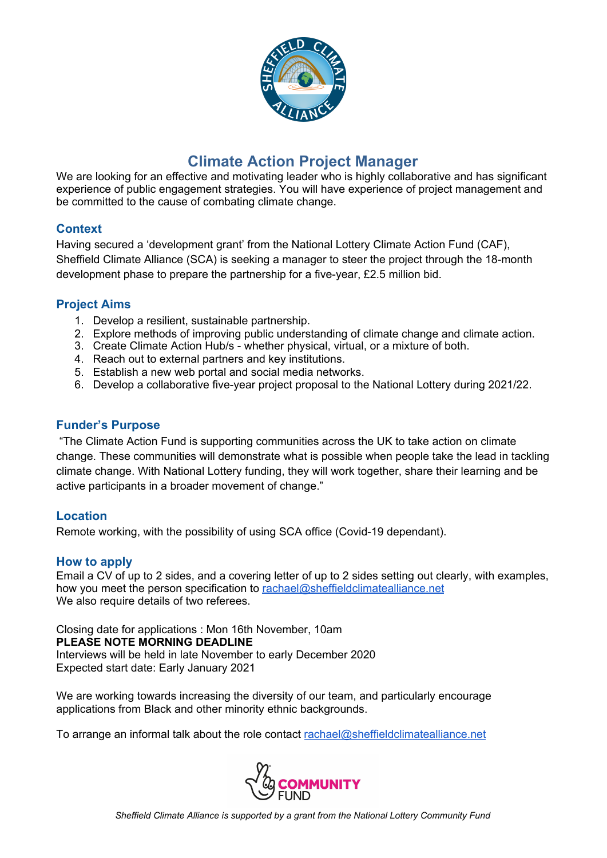

# **Climate Action Project Manager**

We are looking for an effective and motivating leader who is highly collaborative and has significant experience of public engagement strategies. You will have experience of project management and be committed to the cause of combating climate change.

### **Context**

Having secured a 'development grant' from the National Lottery Climate Action Fund (CAF), Sheffield Climate Alliance (SCA) is seeking a manager to steer the project through the 18-month development phase to prepare the partnership for a five-year, £2.5 million bid.

### **Project Aims**

- 1. Develop a resilient, sustainable partnership.
- 2. Explore methods of improving public understanding of climate change and climate action.
- 3. Create Climate Action Hub/s whether physical, virtual, or a mixture of both.
- 4. Reach out to external partners and key institutions.
- 5. Establish a new web portal and social media networks.
- 6. Develop a collaborative five-year project proposal to the National Lottery during 2021/22.

#### **Funder's Purpose**

"The Climate Action Fund is supporting communities across the UK to take action on climate change. These communities will demonstrate what is possible when people take the lead in tackling climate change. With National Lottery funding, they will work together, share their learning and be active participants in a broader movement of change."

### **Location**

Remote working, with the possibility of using SCA office (Covid-19 dependant).

#### **How to apply**

Email a CV of up to 2 sides, and a covering letter of up to 2 sides setting out clearly, with examples, how you meet the person specification to [rachael@sheffieldclimatealliance.net](mailto:rachael@sheffieldclimatealliance.net) We also require details of two referees.

Closing date for applications : Mon 16th November, 10am **PLEASE NOTE MORNING DEADLINE**

Interviews will be held in late November to early December 2020 Expected start date: Early January 2021

We are working towards increasing the diversity of our team, and particularly encourage applications from Black and other minority ethnic backgrounds.

To arrange an informal talk about the role contact [rachael@sheffieldclimatealliance.net](mailto:rachael@sheffieldclimatealliance.net)

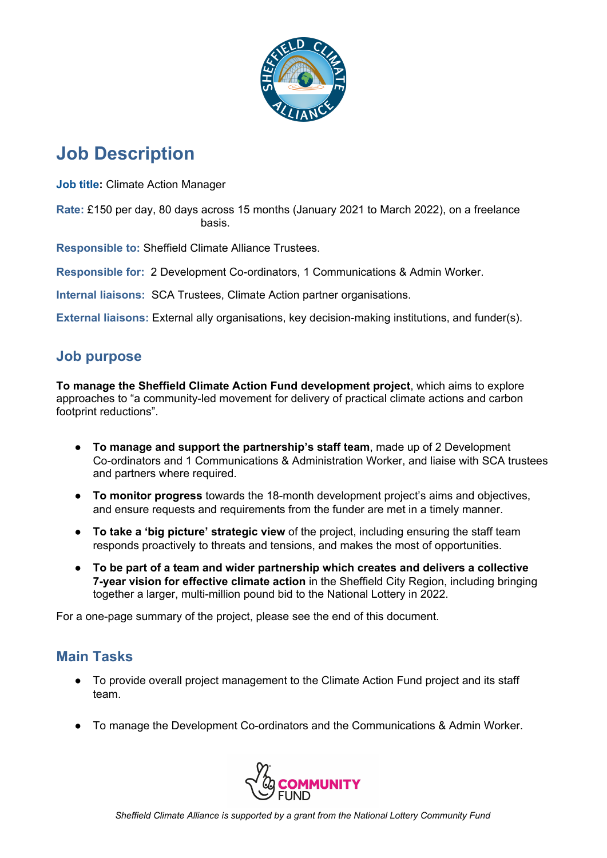

# **Job Description**

**Job title:** Climate Action Manager

**Rate:** £150 per day, 80 days across 15 months (January 2021 to March 2022), on a freelance basis.

**Responsible to:** Sheffield Climate Alliance Trustees.

**Responsible for:** 2 Development Co-ordinators, 1 Communications & Admin Worker.

**Internal liaisons:** SCA Trustees, Climate Action partner organisations.

**External liaisons:** External ally organisations, key decision-making institutions, and funder(s).

## **Job purpose**

**To manage the Sheffield Climate Action Fund development project**, which aims to explore approaches to "a community-led movement for delivery of practical climate actions and carbon footprint reductions".

- **To manage and support the partnership's staff team**, made up of 2 Development Co-ordinators and 1 Communications & Administration Worker, and liaise with SCA trustees and partners where required.
- **To monitor progress** towards the 18-month development project's aims and objectives, and ensure requests and requirements from the funder are met in a timely manner.
- **To take a 'big picture' strategic view** of the project, including ensuring the staff team responds proactively to threats and tensions, and makes the most of opportunities.
- **To be part of a team and wider partnership which creates and delivers a collective 7-year vision for effective climate action** in the Sheffield City Region, including bringing together a larger, multi-million pound bid to the National Lottery in 2022.

For a one-page summary of the project, please see the end of this document.

## **Main Tasks**

- To provide overall project management to the Climate Action Fund project and its staff team.
- To manage the Development Co-ordinators and the Communications & Admin Worker.

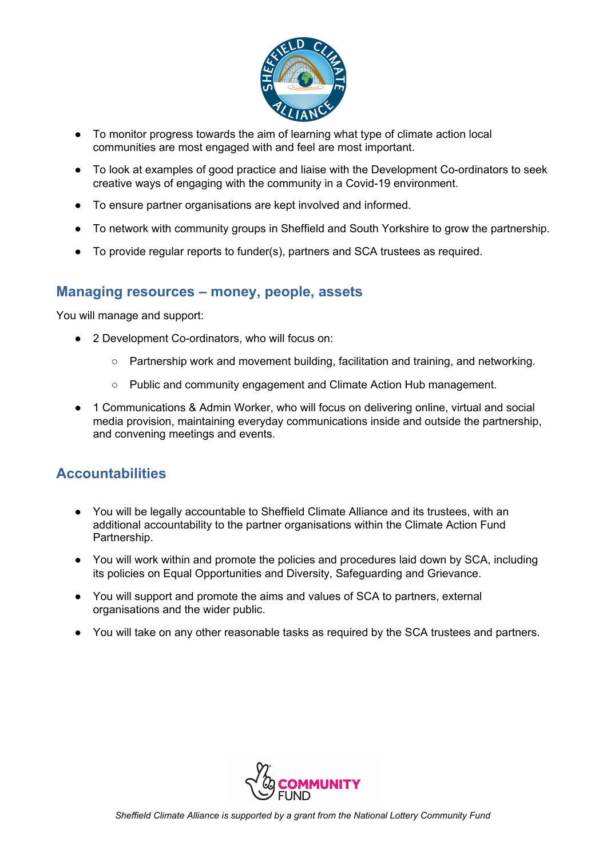

- To monitor progress towards the aim of learning what type of climate action local communities are most engaged with and feel are most important.
- To look at examples of good practice and liaise with the Development Co-ordinators to seek creative ways of engaging with the community in a Covid-19 environment.
- To ensure partner organisations are kept involved and informed.
- To network with community groups in Sheffield and South Yorkshire to grow the partnership.
- To provide regular reports to funder(s), partners and SCA trustees as required.

## **Managing resources – money, people, assets**

You will manage and support:

- 2 Development Co-ordinators, who will focus on:
	- Partnership work and movement building, facilitation and training, and networking.
	- Public and community engagement and Climate Action Hub management.
- 1 Communications & Admin Worker, who will focus on delivering online, virtual and social media provision, maintaining everyday communications inside and outside the partnership, and convening meetings and events.

## **Accountabilities**

- You will be legally accountable to Sheffield Climate Alliance and its trustees, with an additional accountability to the partner organisations within the Climate Action Fund Partnership.
- You will work within and promote the policies and procedures laid down by SCA, including its policies on Equal Opportunities and Diversity, Safeguarding and Grievance.
- You will support and promote the aims and values of SCA to partners, external organisations and the wider public.
- You will take on any other reasonable tasks as required by the SCA trustees and partners.

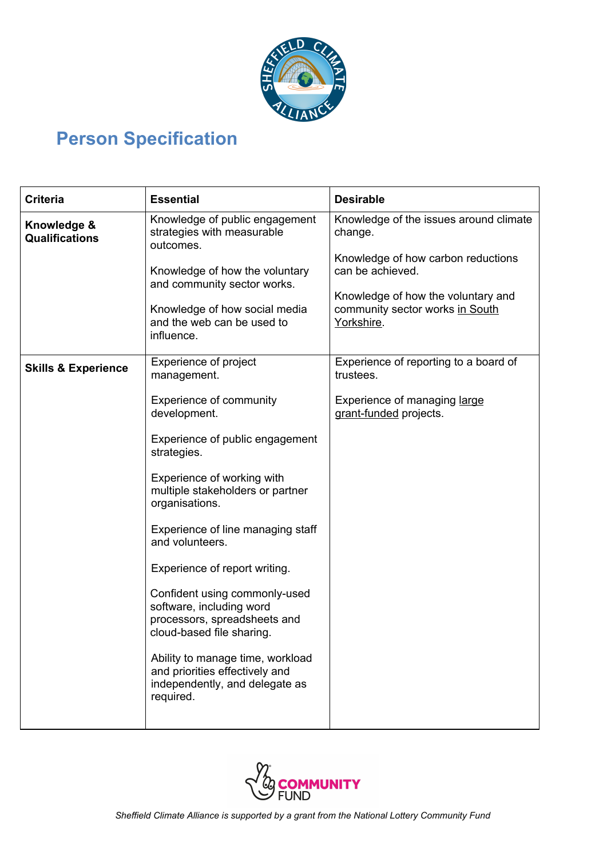

# **Person Specification**

| <b>Criteria</b>                      | <b>Essential</b>                                                                                                                                                                                                        | <b>Desirable</b>                                                                                                                                                                                   |
|--------------------------------------|-------------------------------------------------------------------------------------------------------------------------------------------------------------------------------------------------------------------------|----------------------------------------------------------------------------------------------------------------------------------------------------------------------------------------------------|
| Knowledge &<br><b>Qualifications</b> | Knowledge of public engagement<br>strategies with measurable<br>outcomes.<br>Knowledge of how the voluntary<br>and community sector works.<br>Knowledge of how social media<br>and the web can be used to<br>influence. | Knowledge of the issues around climate<br>change.<br>Knowledge of how carbon reductions<br>can be achieved.<br>Knowledge of how the voluntary and<br>community sector works in South<br>Yorkshire. |
| <b>Skills &amp; Experience</b>       | Experience of project<br>management.                                                                                                                                                                                    | Experience of reporting to a board of<br>trustees.                                                                                                                                                 |
|                                      | <b>Experience of community</b><br>development.                                                                                                                                                                          | Experience of managing large<br>grant-funded projects.                                                                                                                                             |
|                                      | Experience of public engagement<br>strategies.                                                                                                                                                                          |                                                                                                                                                                                                    |
|                                      | Experience of working with<br>multiple stakeholders or partner<br>organisations.                                                                                                                                        |                                                                                                                                                                                                    |
|                                      | Experience of line managing staff<br>and volunteers.                                                                                                                                                                    |                                                                                                                                                                                                    |
|                                      | Experience of report writing.                                                                                                                                                                                           |                                                                                                                                                                                                    |
|                                      | Confident using commonly-used<br>software, including word<br>processors, spreadsheets and<br>cloud-based file sharing.                                                                                                  |                                                                                                                                                                                                    |
|                                      | Ability to manage time, workload<br>and priorities effectively and<br>independently, and delegate as<br>required.                                                                                                       |                                                                                                                                                                                                    |